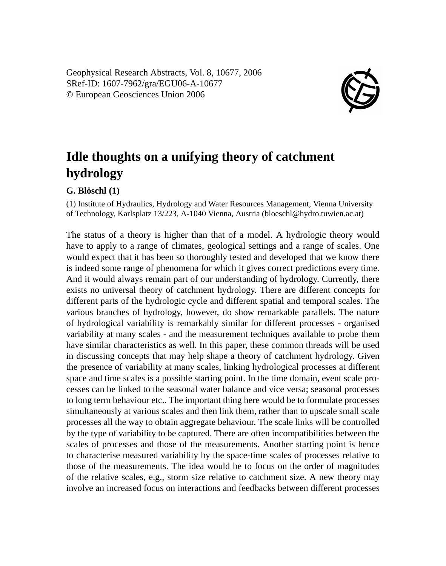Geophysical Research Abstracts, Vol. 8, 10677, 2006 SRef-ID: 1607-7962/gra/EGU06-A-10677 © European Geosciences Union 2006



## **Idle thoughts on a unifying theory of catchment hydrology**

## **G. Blöschl (1)**

(1) Institute of Hydraulics, Hydrology and Water Resources Management, Vienna University of Technology, Karlsplatz 13/223, A-1040 Vienna, Austria (bloeschl@hydro.tuwien.ac.at)

The status of a theory is higher than that of a model. A hydrologic theory would have to apply to a range of climates, geological settings and a range of scales. One would expect that it has been so thoroughly tested and developed that we know there is indeed some range of phenomena for which it gives correct predictions every time. And it would always remain part of our understanding of hydrology. Currently, there exists no universal theory of catchment hydrology. There are different concepts for different parts of the hydrologic cycle and different spatial and temporal scales. The various branches of hydrology, however, do show remarkable parallels. The nature of hydrological variability is remarkably similar for different processes - organised variability at many scales - and the measurement techniques available to probe them have similar characteristics as well. In this paper, these common threads will be used in discussing concepts that may help shape a theory of catchment hydrology. Given the presence of variability at many scales, linking hydrological processes at different space and time scales is a possible starting point. In the time domain, event scale processes can be linked to the seasonal water balance and vice versa; seasonal processes to long term behaviour etc.. The important thing here would be to formulate processes simultaneously at various scales and then link them, rather than to upscale small scale processes all the way to obtain aggregate behaviour. The scale links will be controlled by the type of variability to be captured. There are often incompatibilities between the scales of processes and those of the measurements. Another starting point is hence to characterise measured variability by the space-time scales of processes relative to those of the measurements. The idea would be to focus on the order of magnitudes of the relative scales, e.g., storm size relative to catchment size. A new theory may involve an increased focus on interactions and feedbacks between different processes